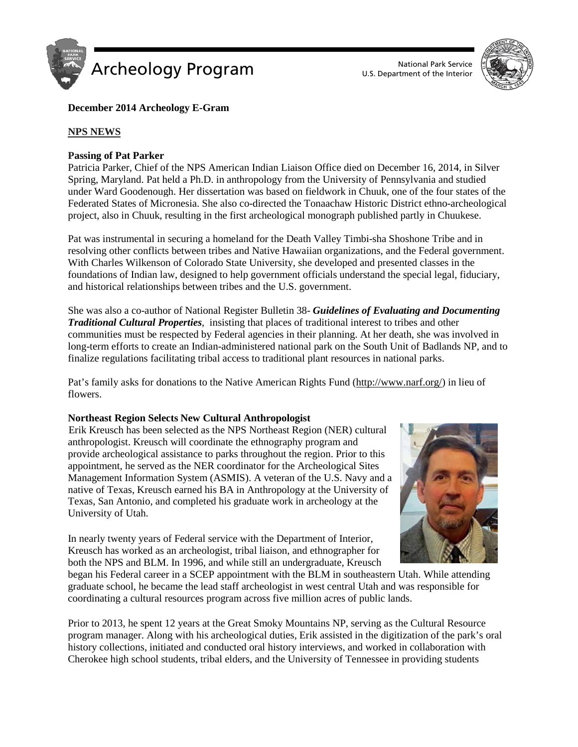

U.S. Department of the Interior



# **December 2014 Archeology E-Gram**

# **NPS NEWS**

# **Passing of Pat Parker**

Patricia Parker, Chief of the NPS American Indian Liaison Office died on December 16, 2014, in Silver Spring, Maryland. Pat held a Ph.D. in anthropology from the University of Pennsylvania and studied under Ward Goodenough. Her dissertation was based on fieldwork in Chuuk, one of the four states of the Federated States of Micronesia. She also co-directed the Tonaachaw Historic District ethno-archeological project, also in Chuuk, resulting in the first archeological monograph published partly in Chuukese.

Pat was instrumental in securing a homeland for the Death Valley Timbi-sha Shoshone Tribe and in resolving other conflicts between tribes and Native Hawaiian organizations, and the Federal government. With Charles Wilkenson of Colorado State University, she developed and presented classes in the foundations of Indian law, designed to help government officials understand the special legal, fiduciary, and historical relationships between tribes and the U.S. government.

She was also a co-author of National Register Bulletin 38- *Guidelines of Evaluating and Documenting Traditional Cultural Properties*, insisting that places of traditional interest to tribes and other communities must be respected by Federal agencies in their planning. At her death, she was involved in long-term efforts to create an Indian-administered national park on the South Unit of Badlands NP, and to finalize regulations facilitating tribal access to traditional plant resources in national parks.

Pat's family asks for donations to the Native American Rights Fund [\(http://www.narf.org/\)](http://l.facebook.com/l.php?u=http%3A%2F%2Fwww.narf.org%2F&h=yAQGP-RaA&enc=AZMkiUcaF1-GX_iNaRT0Qzm2wM0WpcM7IfKTG91zDdSbYKCa27OpqJKYvN8Ao2s9YTss5la8TvtUY3aTqE0bh-6PpLgwW91-D-cXQ_ZSsYMBbeC7phyLmyZe1li-uQI9aRp6bb_95MBnqEyd3Xob5-7F&s=1) in lieu of flowers.

#### **Northeast Region Selects New Cultural Anthropologist**

Erik Kreusch has been selected as the NPS Northeast Region (NER) cultural anthropologist. Kreusch will coordinate the ethnography program and provide archeological assistance to parks throughout the region. Prior to this appointment, he served as the NER coordinator for the Archeological Sites Management Information System (ASMIS). A veteran of the U.S. Navy and a native of Texas, Kreusch earned his BA in Anthropology at the University of Texas, San Antonio, and completed his graduate work in archeology at the University of Utah.





began his Federal career in a SCEP appointment with the BLM in southeastern Utah. While attending graduate school, he became the lead staff archeologist in west central Utah and was responsible for coordinating a cultural resources program across five million acres of public lands.

Prior to 2013, he spent 12 years at the Great Smoky Mountains NP, serving as the Cultural Resource program manager. Along with his archeological duties, Erik assisted in the digitization of the park's oral history collections, initiated and conducted oral history interviews, and worked in collaboration with Cherokee high school students, tribal elders, and the University of Tennessee in providing students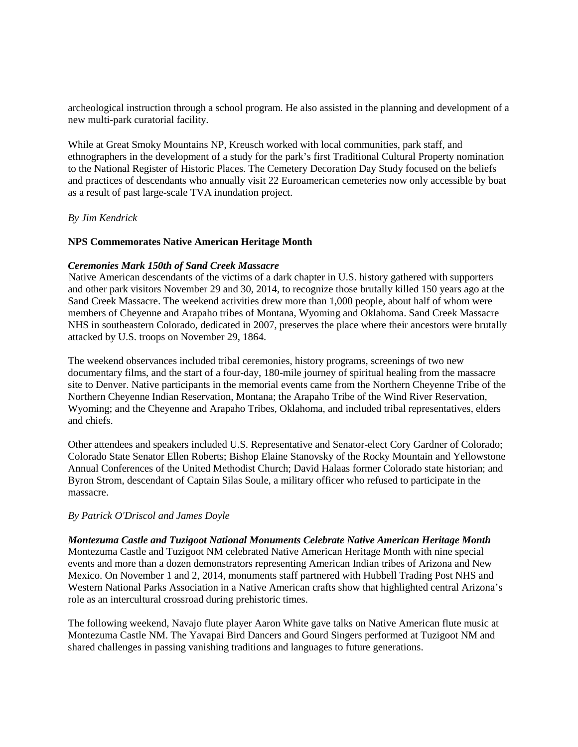archeological instruction through a school program. He also assisted in the planning and development of a new multi-park curatorial facility.

While at Great Smoky Mountains NP, Kreusch worked with local communities, park staff, and ethnographers in the development of a study for the park's first Traditional Cultural Property nomination to the National Register of Historic Places. The Cemetery Decoration Day Study focused on the beliefs and practices of descendants who annually visit 22 Euroamerican cemeteries now only accessible by boat as a result of past large-scale TVA inundation project.

# *By Jim Kendrick*

### **NPS Commemorates Native American Heritage Month**

### *Ceremonies Mark 150th of Sand Creek Massacre*

Native American descendants of the victims of a dark chapter in U.S. history gathered with supporters and other park visitors November 29 and 30, 2014, to recognize those brutally killed 150 years ago at the Sand Creek Massacre. The weekend activities drew more than 1,000 people, about half of whom were members of Cheyenne and Arapaho tribes of Montana, Wyoming and Oklahoma. Sand Creek Massacre NHS in southeastern Colorado, dedicated in 2007, preserves the place where their ancestors were brutally attacked by U.S. troops on November 29, 1864.

The weekend observances included tribal ceremonies, history programs, screenings of two new documentary films, and the start of a four-day, 180-mile journey of spiritual healing from the massacre site to Denver. Native participants in the memorial events came from the Northern Cheyenne Tribe of the Northern Cheyenne Indian Reservation, Montana; the Arapaho Tribe of the Wind River Reservation, Wyoming; and the Cheyenne and Arapaho Tribes, Oklahoma, and included tribal representatives, elders and chiefs.

Other attendees and speakers included U.S. Representative and Senator-elect Cory Gardner of Colorado; Colorado State Senator Ellen Roberts; Bishop Elaine Stanovsky of the Rocky Mountain and Yellowstone Annual Conferences of the United Methodist Church; David Halaas former Colorado state historian; and Byron Strom, descendant of Captain Silas Soule, a military officer who refused to participate in the massacre.

#### *By Patrick O'Driscol and James Doyle*

*Montezuma Castle and Tuzigoot National Monuments Celebrate Native American Heritage Month*  Montezuma Castle and Tuzigoot NM celebrated Native American Heritage Month with nine special events and more than a dozen demonstrators representing American Indian tribes of Arizona and New Mexico. On November 1 and 2, 2014, monuments staff partnered with Hubbell Trading Post NHS and Western National Parks Association in a Native American crafts show that highlighted central Arizona's role as an intercultural crossroad during prehistoric times.

The following weekend, Navajo flute player Aaron White gave talks on Native American flute music at Montezuma Castle NM. The Yavapai Bird Dancers and Gourd Singers performed at Tuzigoot NM and shared challenges in passing vanishing traditions and languages to future generations.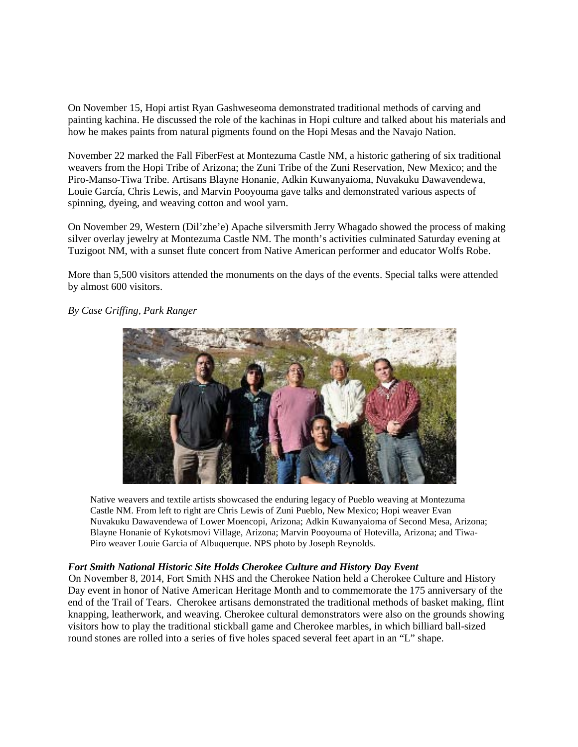On November 15, Hopi artist Ryan Gashweseoma demonstrated traditional methods of carving and painting kachina. He discussed the role of the kachinas in Hopi culture and talked about his materials and how he makes paints from natural pigments found on the Hopi Mesas and the Navajo Nation.

November 22 marked the Fall FiberFest at Montezuma Castle NM, a historic gathering of six traditional weavers from the Hopi Tribe of Arizona; the Zuni Tribe of the Zuni Reservation, New Mexico; and the Piro-Manso-Tiwa Tribe. Artisans Blayne Honanie, Adkin Kuwanyaioma, Nuvakuku Dawavendewa, Louie García, Chris Lewis, and Marvin Pooyouma gave talks and demonstrated various aspects of spinning, dyeing, and weaving cotton and wool yarn.

On November 29, Western (Dil'zhe'e) Apache silversmith Jerry Whagado showed the process of making silver overlay jewelry at Montezuma Castle NM. The month's activities culminated Saturday evening at Tuzigoot NM, with a sunset flute concert from Native American performer and educator Wolfs Robe.

More than 5,500 visitors attended the monuments on the days of the events. Special talks were attended by almost 600 visitors.

*By Case Griffing, Park Ranger*



Native weavers and textile artists showcased the enduring legacy of Pueblo weaving at Montezuma Castle NM. From left to right are Chris Lewis of Zuni Pueblo, New Mexico; Hopi weaver Evan Nuvakuku Dawavendewa of Lower Moencopi, Arizona; Adkin Kuwanyaioma of Second Mesa, Arizona; Blayne Honanie of Kykotsmovi Village, Arizona; Marvin Pooyouma of Hotevilla, Arizona; and Tiwa-Piro weaver Louie Garcia of Albuquerque. NPS photo by Joseph Reynolds.

# *Fort Smith National Historic Site Holds Cherokee Culture and History Day Event*

On November 8, 2014, Fort Smith NHS and the Cherokee Nation held a Cherokee Culture and History Day event in honor of Native American Heritage Month and to commemorate the 175 anniversary of the end of the Trail of Tears. Cherokee artisans demonstrated the traditional methods of basket making, flint knapping, leatherwork, and weaving. Cherokee cultural demonstrators were also on the grounds showing visitors how to play the traditional stickball game and Cherokee marbles, in which billiard ball-sized round stones are rolled into a series of five holes spaced several feet apart in an "L" shape.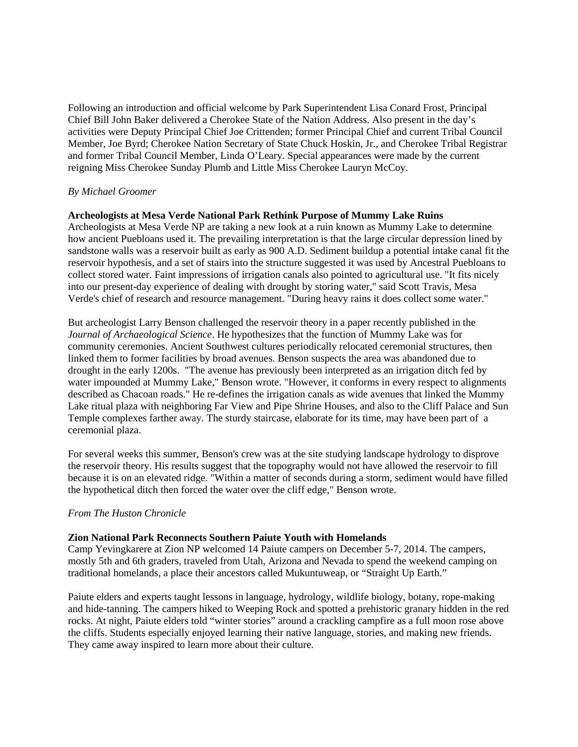Following an introduction and official welcome by Park Superintendent Lisa Conard Frost, Principal Chief Bill John Baker delivered a Cherokee State of the Nation Address. Also present in the day's activities were Deputy Principal Chief Joe Crittenden; former Principal Chief and current Tribal Council Member, Joe Byrd; Cherokee Nation Secretary of State Chuck Hoskin, Jr., and Cherokee Tribal Registrar and former Tribal Council Member, Linda O'Leary. Special appearances were made by the current reigning Miss Cherokee Sunday Plumb and Little Miss Cherokee Lauryn McCoy.

### *By Michael Groomer*

### **Archeologists at Mesa Verde National Park Rethink Purpose of Mummy Lake Ruins**

Archeologists at Mesa Verde NP are taking a new look at a ruin known as Mummy Lake to determine how ancient Puebloans used it. The prevailing interpretation is that the large circular depression lined by sandstone walls was a reservoir built as early as 900 A.D. Sediment buildup a potential intake canal fit the reservoir hypothesis, and a set of stairs into the structure suggested it was used by Ancestral Puebloans to collect stored water. Faint impressions of irrigation canals also pointed to agricultural use. "It fits nicely into our present-day experience of dealing with drought by storing water," said Scott Travis, Mesa Verde's chief of research and resource management. "During heavy rains it does collect some water."

But archeologist Larry Benson challenged the reservoir theory in a paper recently published in the *Journal of Archaeological Science*. He hypothesizes that the function of Mummy Lake was for community ceremonies. Ancient Southwest cultures periodically relocated ceremonial structures, then linked them to former facilities by broad avenues. Benson suspects the area was abandoned due to drought in the early 1200s. "The avenue has previously been interpreted as an irrigation ditch fed by water impounded at Mummy Lake," Benson wrote. "However, it conforms in every respect to alignments described as Chacoan roads." He re-defines the irrigation canals as wide avenues that linked the Mummy Lake ritual plaza with neighboring Far View and Pipe Shrine Houses, and also to the Cliff Palace and Sun Temple complexes farther away. The sturdy staircase, elaborate for its time, may have been part of a ceremonial plaza.

For several weeks this summer, Benson's crew was at the site studying landscape hydrology to disprove the reservoir theory. His results suggest that the topography would not have allowed the reservoir to fill because it is on an elevated ridge. "Within a matter of seconds during a storm, sediment would have filled the hypothetical ditch then forced the water over the cliff edge," Benson wrote.

#### *From The Huston Chronicle*

#### **Zion National Park Reconnects Southern Paiute Youth with Homelands**

Camp Yevingkarere at Zion NP welcomed 14 Paiute campers on December 5-7, 2014. The campers, mostly 5th and 6th graders, traveled from Utah, Arizona and Nevada to spend the weekend camping on traditional homelands, a place their ancestors called Mukuntuweap*,* or "Straight Up Earth."

Paiute elders and experts taught lessons in language, hydrology, wildlife biology, botany, rope-making and hide-tanning. The campers hiked to Weeping Rock and spotted a prehistoric granary hidden in the red rocks. At night, Paiute elders told "winter stories" around a crackling campfire as a full moon rose above the cliffs. Students especially enjoyed learning their native language, stories, and making new friends. They came away inspired to learn more about their culture.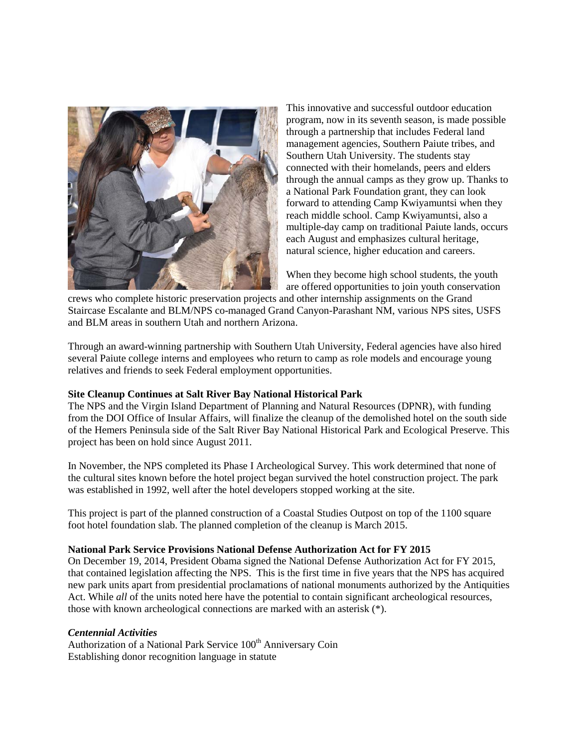

This innovative and successful outdoor education program, now in its seventh season, is made possible through a partnership that includes Federal land management agencies, Southern Paiute tribes, and Southern Utah University. The students stay connected with their homelands, peers and elders through the annual camps as they grow up. Thanks to a National Park Foundation grant, they can look forward to attending Camp Kwiyamuntsi when they reach middle school. Camp Kwiyamuntsi, also a multiple-day camp on traditional Paiute lands, occurs each August and emphasizes cultural heritage, natural science, higher education and careers.

When they become high school students, the youth are offered opportunities to join youth conservation

crews who complete historic preservation projects and other internship assignments on the Grand Staircase Escalante and BLM/NPS co-managed Grand Canyon-Parashant NM, various NPS sites, USFS and BLM areas in southern Utah and northern Arizona.

Through an award-winning partnership with Southern Utah University, Federal agencies have also hired several Paiute college interns and employees who return to camp as role models and encourage young relatives and friends to seek Federal employment opportunities.

# **Site Cleanup Continues at Salt River Bay National Historical Park**

The NPS and the Virgin Island Department of Planning and Natural Resources (DPNR), with funding from the DOI Office of Insular Affairs, will finalize the cleanup of the demolished hotel on the south side of the Hemers Peninsula side of the Salt River Bay National Historical Park and Ecological Preserve. This project has been on hold since August 2011.

In November, the NPS completed its Phase I Archeological Survey. This work determined that none of the cultural sites known before the hotel project began survived the hotel construction project. The park was established in 1992, well after the hotel developers stopped working at the site.

This project is part of the planned construction of a Coastal Studies Outpost on top of the 1100 square foot hotel foundation slab. The planned completion of the cleanup is March 2015.

# **National Park Service Provisions National Defense Authorization Act for FY 2015**

On December 19, 2014, President Obama signed the National Defense Authorization Act for FY 2015, that contained legislation affecting the NPS. This is the first time in five years that the NPS has acquired new park units apart from presidential proclamations of national monuments authorized by the Antiquities Act. While *all* of the units noted here have the potential to contain significant archeological resources, those with known archeological connections are marked with an asterisk (\*).

# *Centennial Activities*

Authorization of a National Park Service 100<sup>th</sup> Anniversary Coin Establishing donor recognition language in statute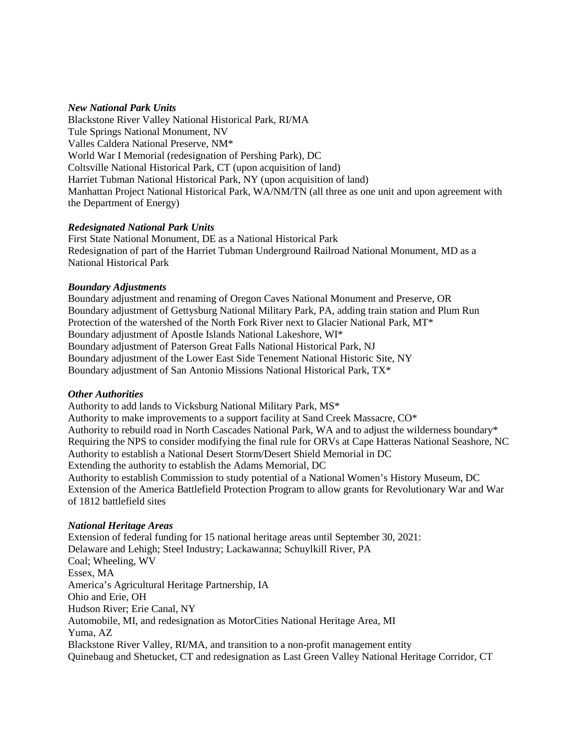### *New National Park Units*

Blackstone River Valley National Historical Park, RI/MA Tule Springs National Monument, NV Valles Caldera National Preserve, NM\* World War I Memorial (redesignation of Pershing Park), DC Coltsville National Historical Park, CT (upon acquisition of land) Harriet Tubman National Historical Park, NY (upon acquisition of land) Manhattan Project National Historical Park, WA/NM/TN (all three as one unit and upon agreement with the Department of Energy)

### *Redesignated National Park Units*

First State National Monument, DE as a National Historical Park Redesignation of part of the Harriet Tubman Underground Railroad National Monument, MD as a National Historical Park

### *Boundary Adjustments*

Boundary adjustment and renaming of Oregon Caves National Monument and Preserve, OR Boundary adjustment of Gettysburg National Military Park, PA, adding train station and Plum Run Protection of the watershed of the North Fork River next to Glacier National Park, MT\* Boundary adjustment of Apostle Islands National Lakeshore, WI\* Boundary adjustment of Paterson Great Falls National Historical Park, NJ Boundary adjustment of the Lower East Side Tenement National Historic Site, NY Boundary adjustment of San Antonio Missions National Historical Park, TX\*

# *Other Authorities*

Authority to add lands to Vicksburg National Military Park, MS\* Authority to make improvements to a support facility at Sand Creek Massacre, CO\* Authority to rebuild road in North Cascades National Park, WA and to adjust the wilderness boundary\* Requiring the NPS to consider modifying the final rule for ORVs at Cape Hatteras National Seashore, NC Authority to establish a National Desert Storm/Desert Shield Memorial in DC Extending the authority to establish the Adams Memorial, DC Authority to establish Commission to study potential of a National Women's History Museum, DC Extension of the America Battlefield Protection Program to allow grants for Revolutionary War and War of 1812 battlefield sites

#### *National Heritage Areas*

Extension of federal funding for 15 national heritage areas until September 30, 2021: Delaware and Lehigh; Steel Industry; Lackawanna; Schuylkill River, PA Coal; Wheeling, WV Essex, MA America's Agricultural Heritage Partnership, IA Ohio and Erie, OH Hudson River; Erie Canal, NY Automobile, MI, and redesignation as MotorCities National Heritage Area, MI Yuma, AZ Blackstone River Valley, RI/MA, and transition to a non-profit management entity Quinebaug and Shetucket, CT and redesignation as Last Green Valley National Heritage Corridor, CT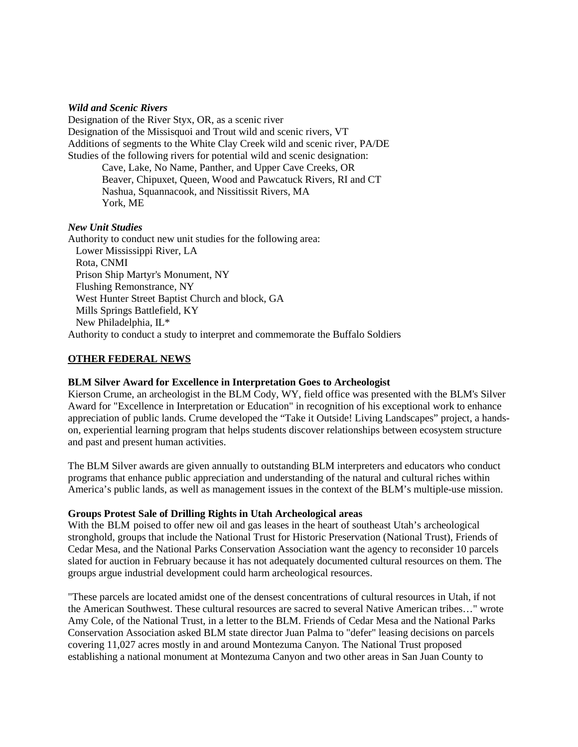### *Wild and Scenic Rivers*

Designation of the River Styx, OR, as a scenic river Designation of the Missisquoi and Trout wild and scenic rivers, VT Additions of segments to the White Clay Creek wild and scenic river, PA/DE Studies of the following rivers for potential wild and scenic designation: Cave, Lake, No Name, Panther, and Upper Cave Creeks, OR

Beaver, Chipuxet, Queen, Wood and Pawcatuck Rivers, RI and CT Nashua, Squannacook, and Nissitissit Rivers, MA York, ME

### *New Unit Studies*

Authority to conduct new unit studies for the following area: Lower Mississippi River, LA Rota, CNMI Prison Ship Martyr's Monument, NY Flushing Remonstrance, NY West Hunter Street Baptist Church and block, GA Mills Springs Battlefield, KY New Philadelphia, IL\* Authority to conduct a study to interpret and commemorate the Buffalo Soldiers

# **OTHER FEDERAL NEWS**

# **BLM Silver Award for Excellence in Interpretation Goes to Archeologist**

Kierson Crume, an archeologist in the BLM Cody, WY, field office was presented with the BLM's Silver Award for "Excellence in Interpretation or Education" in recognition of his exceptional work to enhance appreciation of public lands. Crume developed the "Take it Outside! Living Landscapes" project, a handson, experiential learning program that helps students discover relationships between ecosystem structure and past and present human activities.

The BLM Silver awards are given annually to outstanding BLM interpreters and educators who conduct programs that enhance public appreciation and understanding of the natural and cultural riches within America's public lands, as well as management issues in the context of the BLM's multiple-use mission.

# **Groups Protest Sale of Drilling Rights in Utah Archeological areas**

With the BLM poised to offer new oil and gas leases in the heart of southeast Utah's archeological stronghold, groups that include the National Trust for Historic Preservation (National Trust), Friends of Cedar Mesa, and the National Parks Conservation Association want the agency to reconsider 10 parcels slated for auction in February because it has not adequately documented cultural resources on them. The groups argue industrial development could harm archeological resources.

"These parcels are located amidst one of the densest concentrations of cultural resources in Utah, if not the American Southwest. These cultural resources are sacred to several Native American tribes…" wrote Amy Cole, of the National Trust, in a letter to the BLM. Friends of Cedar Mesa and the National Parks Conservation Association asked BLM state director Juan Palma to "defer" leasing decisions on parcels covering 11,027 acres mostly in and around Montezuma Canyon. The National Trust proposed establishing a national monument at Montezuma Canyon and two other areas in San Juan County to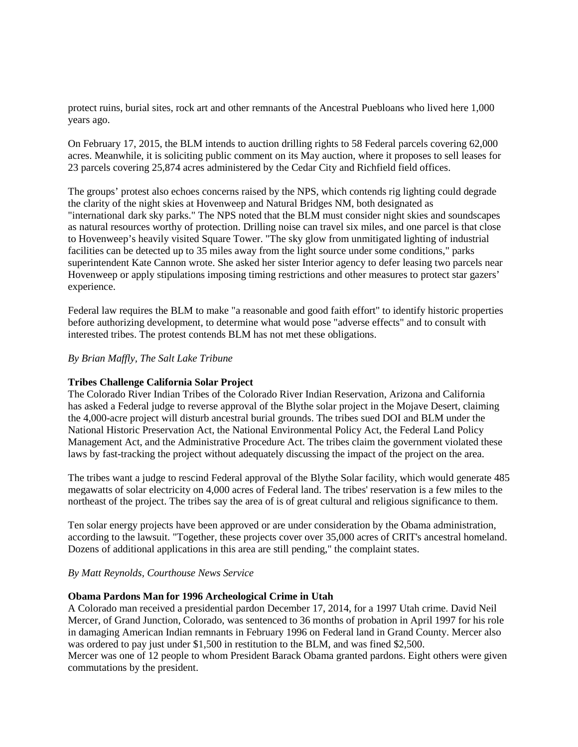protect ruins, burial sites, rock art and other remnants of the Ancestral Puebloans who lived here 1,000 years ago.

On February 17, 2015, the BLM intends to auction drilling rights to 58 Federal parcels covering 62,000 acres. Meanwhile, it is soliciting public comment on its May auction, where it proposes to sell leases for 23 parcels covering 25,874 acres administered by the Cedar City and Richfield field offices.

The groups' protest also echoes concerns raised by the NPS, which contends rig lighting could degrade the clarity of the night skies at Hovenweep and Natural Bridges NM, both designated as "international dark sky parks." The NPS noted that the BLM must consider night skies and soundscapes as natural resources worthy of protection. Drilling noise can travel six miles, and one parcel is that close to Hovenweep's heavily visited Square Tower. "The sky glow from unmitigated lighting of industrial facilities can be detected up to 35 miles away from the light source under some conditions," parks superintendent Kate Cannon wrote. She asked her sister Interior agency to defer leasing two parcels near Hovenweep or apply stipulations imposing timing restrictions and other measures to protect star gazers' experience.

Federal law requires the BLM to make "a reasonable and good faith effort" to identify historic properties before authorizing development, to determine what would pose "adverse effects" and to consult with interested tribes. The protest contends BLM has not met these obligations.

### *By Brian Maffly, The Salt Lake Tribune*

#### **Tribes Challenge California Solar Project**

The Colorado River Indian Tribes of the Colorado River Indian Reservation, Arizona and California has asked a Federal judge to reverse approval of the Blythe solar project in the Mojave Desert, claiming the 4,000-acre project will disturb ancestral burial grounds. The tribes sued DOI and BLM under the National Historic Preservation Act, the National Environmental Policy Act, the Federal Land Policy Management Act, and the Administrative Procedure Act. The tribes claim the government violated these laws by fast-tracking the project without adequately discussing the impact of the project on the area.

The tribes want a judge to rescind Federal approval of the Blythe Solar facility, which would generate 485 megawatts of solar electricity on 4,000 acres of Federal land. The tribes' reservation is a few miles to the northeast of the project. The tribes say the area of is of great cultural and religious significance to them.

Ten solar energy projects have been approved or are under consideration by the Obama administration, according to the lawsuit. "Together, these projects cover over 35,000 acres of CRIT's ancestral homeland. Dozens of additional applications in this area are still pending," the complaint states.

#### *By Matt Reynolds, Courthouse News Service*

# **Obama Pardons Man for 1996 Archeological Crime in Utah**

A Colorado man received a presidential pardon December 17, 2014, for a 1997 Utah crime. David Neil Mercer, of Grand Junction, Colorado, was sentenced to 36 months of probation in April 1997 for his role in damaging American Indian remnants in February 1996 on Federal land in Grand County. Mercer also was ordered to pay just under \$1,500 in restitution to the BLM, and was fined \$2,500.

Mercer was one of 12 people to whom President Barack Obama granted pardons. Eight others were given commutations by the president.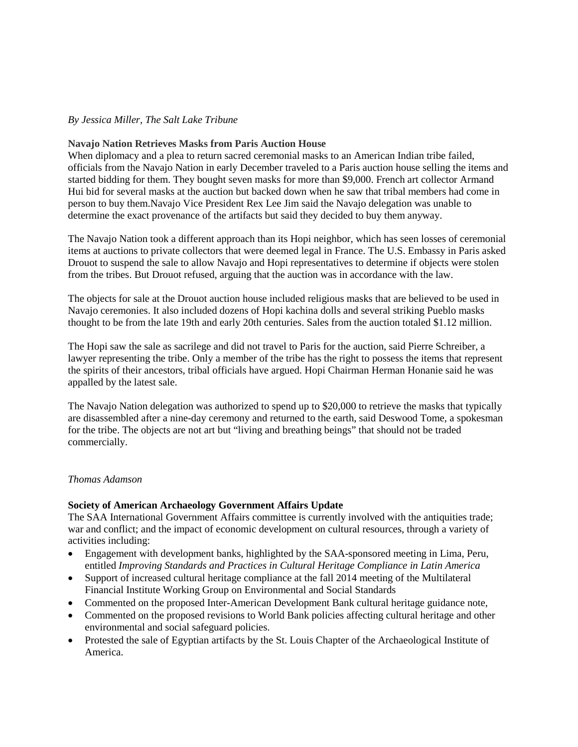# *By Jessica Miller, The Salt Lake Tribune*

#### **Navajo Nation Retrieves Masks from Paris Auction House**

When diplomacy and a plea to return sacred ceremonial masks to an American Indian tribe failed, officials from the Navajo Nation in early December traveled to a Paris auction house selling the items and started bidding for them. They bought seven masks for more than \$9,000. French art collector Armand Hui bid for several masks at the auction but backed down when he saw that tribal members had come in person to buy them.Navajo Vice President Rex Lee Jim said the Navajo delegation was unable to determine the exact provenance of the artifacts but said they decided to buy them anyway.

The Navajo Nation took a different approach than its Hopi neighbor, which has seen losses of ceremonial items at auctions to private collectors that were deemed legal in France. The U.S. Embassy in Paris asked Drouot to suspend the sale to allow Navajo and Hopi representatives to determine if objects were stolen from the tribes. But Drouot refused, arguing that the auction was in accordance with the law.

The objects for sale at the Drouot auction house included religious masks that are believed to be used in Navajo ceremonies. It also included dozens of Hopi kachina dolls and several striking Pueblo masks thought to be from the late 19th and early 20th centuries. Sales from the auction totaled \$1.12 million.

The Hopi saw the sale as sacrilege and did not travel to Paris for the auction, said Pierre Schreiber, a lawyer representing the tribe. Only a member of the tribe has the right to possess the items that represent the spirits of their ancestors, tribal officials have argued. Hopi Chairman Herman Honanie said he was appalled by the latest sale.

The Navajo Nation delegation was authorized to spend up to \$20,000 to retrieve the masks that typically are disassembled after a nine-day ceremony and returned to the earth, said Deswood Tome, a spokesman for the tribe. The objects are not art but "living and breathing beings" that should not be traded commercially.

#### *Thomas Adamson*

#### **Society of American Archaeology Government Affairs Update**

The SAA International Government Affairs committee is currently involved with the antiquities trade; war and conflict; and the impact of economic development on cultural resources, through a variety of activities including:

- Engagement with development banks, highlighted by the SAA-sponsored meeting in Lima, Peru, entitled *Improving Standards and Practices in Cultural Heritage Compliance in Latin America*
- Support of increased cultural heritage compliance at the fall 2014 meeting of the Multilateral Financial Institute Working Group on Environmental and Social Standards
- Commented on the proposed Inter-American Development Bank cultural heritage guidance note,
- Commented on the proposed revisions to World Bank policies affecting cultural heritage and other environmental and social safeguard policies.
- Protested the sale of Egyptian artifacts by the St. Louis Chapter of the Archaeological Institute of America.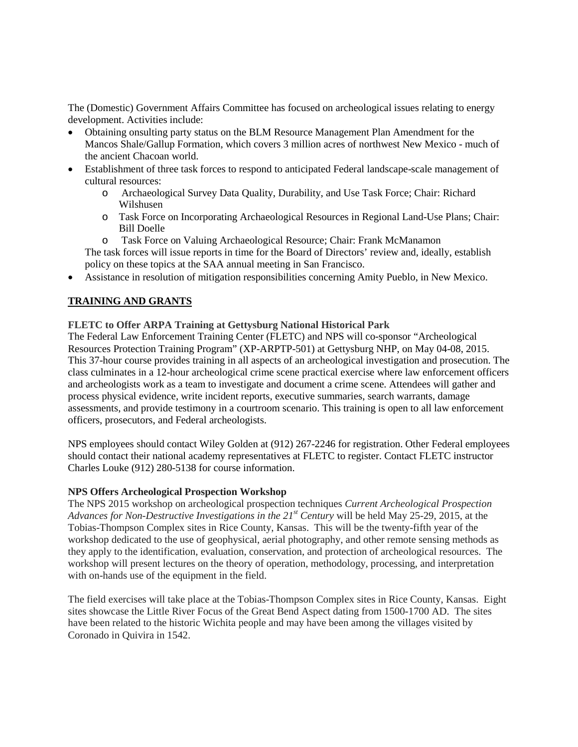The (Domestic) Government Affairs Committee has focused on archeological issues relating to energy development. Activities include:

- Obtaining onsulting party status on the BLM Resource Management Plan Amendment for the Mancos Shale/Gallup Formation, which covers 3 million acres of northwest New Mexico - much of the ancient Chacoan world.
- Establishment of three task forces to respond to anticipated Federal landscape-scale management of cultural resources:
	- o Archaeological Survey Data Quality, Durability, and Use Task Force; Chair: Richard Wilshusen
	- o Task Force on Incorporating Archaeological Resources in Regional Land-Use Plans; Chair: Bill Doelle
	- o Task Force on Valuing Archaeological Resource; Chair: Frank McManamon

The task forces will issue reports in time for the Board of Directors' review and, ideally, establish policy on these topics at the SAA annual meeting in San Francisco.

• Assistance in resolution of mitigation responsibilities concerning Amity Pueblo, in New Mexico.

# **TRAINING AND GRANTS**

# **FLETC to Offer ARPA Training at Gettysburg National Historical Park**

The Federal Law Enforcement Training Center (FLETC) and NPS will co-sponsor "Archeological Resources Protection Training Program" (XP-ARPTP-501) at Gettysburg NHP, on May 04-08, 2015. This 37-hour course provides training in all aspects of an archeological investigation and prosecution. The class culminates in a 12-hour archeological crime scene practical exercise where law enforcement officers and archeologists work as a team to investigate and document a crime scene. Attendees will gather and process physical evidence, write incident reports, executive summaries, search warrants, damage assessments, and provide testimony in a courtroom scenario. This training is open to all law enforcement officers, prosecutors, and Federal archeologists.

NPS employees should contact Wiley Golden at (912) 267-2246 for registration. Other Federal employees should contact their national academy representatives at FLETC to register. Contact FLETC instructor Charles Louke (912) 280-5138 for course information.

# **NPS Offers Archeological Prospection Workshop**

The NPS 2015 workshop on archeological prospection techniques *Current Archeological Prospection*  Advances for Non-Destructive Investigations in the 21<sup>st</sup> Century will be held May 25-29, 2015, at the Tobias-Thompson Complex sites in Rice County, Kansas. This will be the twenty-fifth year of the workshop dedicated to the use of geophysical, aerial photography, and other remote sensing methods as they apply to the identification, evaluation, conservation, and protection of archeological resources. The workshop will present lectures on the theory of operation, methodology, processing, and interpretation with on-hands use of the equipment in the field.

The field exercises will take place at the Tobias-Thompson Complex sites in Rice County, Kansas. Eight sites showcase the Little River Focus of the Great Bend Aspect dating from 1500-1700 AD. The sites have been related to the historic Wichita people and may have been among the villages visited by Coronado in Quivira in 1542.